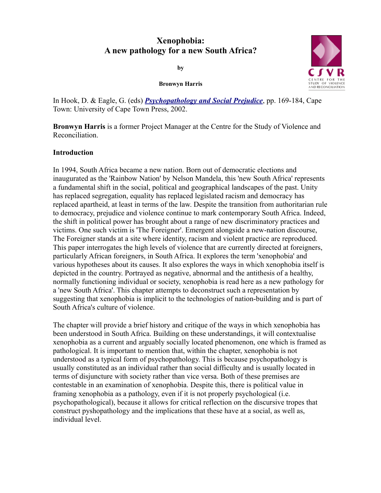# **Xenophobia: A new pathology for a new South Africa?**

**by**



**Bronwyn Harris**

In Hook, D. & Eagle, G. (eds) *[Psychopathology and Social Prejudice](http://www.csvr.org.za/papers/paphar1.htm#uctpress)*, pp. 169-184, Cape Town: University of Cape Town Press, 2002.

**Bronwyn Harris** is a former Project Manager at the Centre for the Study of Violence and Reconciliation.

# **Introduction**

In 1994, South Africa became a new nation. Born out of democratic elections and inaugurated as the 'Rainbow Nation' by Nelson Mandela, this 'new South Africa' represents a fundamental shift in the social, political and geographical landscapes of the past. Unity has replaced segregation, equality has replaced legislated racism and democracy has replaced apartheid, at least in terms of the law. Despite the transition from authoritarian rule to democracy, prejudice and violence continue to mark contemporary South Africa. Indeed, the shift in political power has brought about a range of new discriminatory practices and victims. One such victim is 'The Foreigner'. Emergent alongside a new-nation discourse, The Foreigner stands at a site where identity, racism and violent practice are reproduced. This paper interrogates the high levels of violence that are currently directed at foreigners, particularly African foreigners, in South Africa. It explores the term 'xenophobia' and various hypotheses about its causes. It also explores the ways in which xenophobia itself is depicted in the country. Portrayed as negative, abnormal and the antithesis of a healthy, normally functioning individual or society, xenophobia is read here as a new pathology for a 'new South Africa'. This chapter attempts to deconstruct such a representation by suggesting that xenophobia is implicit to the technologies of nation-building and is part of South Africa's culture of violence.

The chapter will provide a brief history and critique of the ways in which xenophobia has been understood in South Africa. Building on these understandings, it will contextualise xenophobia as a current and arguably socially located phenomenon, one which is framed as pathological. It is important to mention that, within the chapter, xenophobia is not understood as a typical form of psychopathology. This is because psychopathology is usually constituted as an individual rather than social difficulty and is usually located in terms of disjuncture with society rather than vice versa. Both of these premises are contestable in an examination of xenophobia. Despite this, there is political value in framing xenophobia as a pathology, even if it is not properly psychological (i.e. psychopathological), because it allows for critical reflection on the discursive tropes that construct pyshopathology and the implications that these have at a social, as well as, individual level.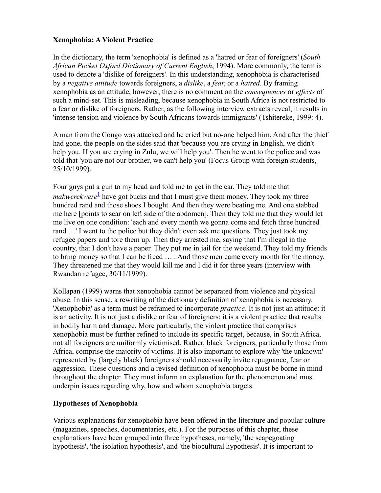## **Xenophobia: A Violent Practice**

In the dictionary, the term 'xenophobia' is defined as a 'hatred or fear of foreigners' (*South African Pocket Oxford Dictionary of Current English*, 1994). More commonly, the term is used to denote a 'dislike of foreigners'. In this understanding, xenophobia is characterised by a *negative attitude* towards foreigners, a *dislike*, a *fear*, or a *hatred*. By framing xenophobia as an attitude, however, there is no comment on the *consequences* or *effects* of such a mind-set. This is misleading, because xenophobia in South Africa is not restricted to a fear or dislike of foreigners. Rather, as the following interview extracts reveal, it results in 'intense tension and violence by South Africans towards immigrants' (Tshitereke, 1999: 4).

A man from the Congo was attacked and he cried but no-one helped him. And after the thief had gone, the people on the sides said that 'because you are crying in English, we didn't help you. If you are crying in Zulu, we will help you'. Then he went to the police and was told that 'you are not our brother, we can't help you' (Focus Group with foreign students, 25/10/1999).

Four guys put a gun to my head and told me to get in the car. They told me that *makwerekwere*<sup>[1](http://www.csvr.org.za/papers/paphar1.htm#note1)</sup> have got bucks and that I must give them money. They took my three hundred rand and those shoes I bought. And then they were beating me. And one stabbed me here [points to scar on left side of the abdomen]. Then they told me that they would let me live on one condition: 'each and every month we gonna come and fetch three hundred rand …' I went to the police but they didn't even ask me questions. They just took my refugee papers and tore them up. Then they arrested me, saying that I'm illegal in the country, that I don't have a paper. They put me in jail for the weekend. They told my friends to bring money so that I can be freed … . And those men came every month for the money. They threatened me that they would kill me and I did it for three years (interview with Rwandan refugee, 30/11/1999).

Kollapan (1999) warns that xenophobia cannot be separated from violence and physical abuse. In this sense, a rewriting of the dictionary definition of xenophobia is necessary. 'Xenophobia' as a term must be reframed to incorporate *practice*. It is not just an attitude: it is an activity. It is not just a dislike or fear of foreigners: it is a violent practice that results in bodily harm and damage. More particularly, the violent practice that comprises xenophobia must be further refined to include its specific target, because, in South Africa, not all foreigners are uniformly victimised. Rather, black foreigners, particularly those from Africa, comprise the majority of victims. It is also important to explore why 'the unknown' represented by (largely black) foreigners should necessarily invite repugnance, fear or aggression. These questions and a revised definition of xenophobia must be borne in mind throughout the chapter. They must inform an explanation for the phenomenon and must underpin issues regarding why, how and whom xenophobia targets.

# **Hypotheses of Xenophobia**

Various explanations for xenophobia have been offered in the literature and popular culture (magazines, speeches, documentaries, etc.). For the purposes of this chapter, these explanations have been grouped into three hypotheses, namely, 'the scapegoating hypothesis', 'the isolation hypothesis', and 'the biocultural hypothesis'. It is important to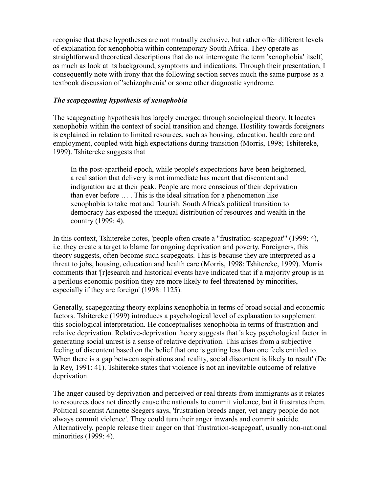recognise that these hypotheses are not mutually exclusive, but rather offer different levels of explanation for xenophobia within contemporary South Africa. They operate as straightforward theoretical descriptions that do not interrogate the term 'xenophobia' itself, as much as look at its background, symptoms and indications. Through their presentation, I consequently note with irony that the following section serves much the same purpose as a textbook discussion of 'schizophrenia' or some other diagnostic syndrome.

## *The scapegoating hypothesis of xenophobia*

The scapegoating hypothesis has largely emerged through sociological theory. It locates xenophobia within the context of social transition and change. Hostility towards foreigners is explained in relation to limited resources, such as housing, education, health care and employment, coupled with high expectations during transition (Morris, 1998; Tshitereke, 1999). Tshitereke suggests that

In the post-apartheid epoch, while people's expectations have been heightened, a realisation that delivery is not immediate has meant that discontent and indignation are at their peak. People are more conscious of their deprivation than ever before … . This is the ideal situation for a phenomenon like xenophobia to take root and flourish. South Africa's political transition to democracy has exposed the unequal distribution of resources and wealth in the country (1999: 4).

In this context, Tshitereke notes, 'people often create a "frustration-scapegoat"' (1999: 4), i.e. they create a target to blame for ongoing deprivation and poverty. Foreigners, this theory suggests, often become such scapegoats. This is because they are interpreted as a threat to jobs, housing, education and health care (Morris, 1998; Tshitereke, 1999). Morris comments that '[r]esearch and historical events have indicated that if a majority group is in a perilous economic position they are more likely to feel threatened by minorities, especially if they are foreign' (1998: 1125).

Generally, scapegoating theory explains xenophobia in terms of broad social and economic factors. Tshitereke (1999) introduces a psychological level of explanation to supplement this sociological interpretation. He conceptualises xenophobia in terms of frustration and relative deprivation. Relative-deprivation theory suggests that 'a key psychological factor in generating social unrest is a sense of relative deprivation. This arises from a subjective feeling of discontent based on the belief that one is getting less than one feels entitled to. When there is a gap between aspirations and reality, social discontent is likely to result' (De la Rey, 1991: 41). Tshitereke states that violence is not an inevitable outcome of relative deprivation.

The anger caused by deprivation and perceived or real threats from immigrants as it relates to resources does not directly cause the nationals to commit violence, but it frustrates them. Political scientist Annette Seegers says, 'frustration breeds anger, yet angry people do not always commit violence'. They could turn their anger inwards and commit suicide. Alternatively, people release their anger on that 'frustration-scapegoat', usually non-national minorities (1999: 4).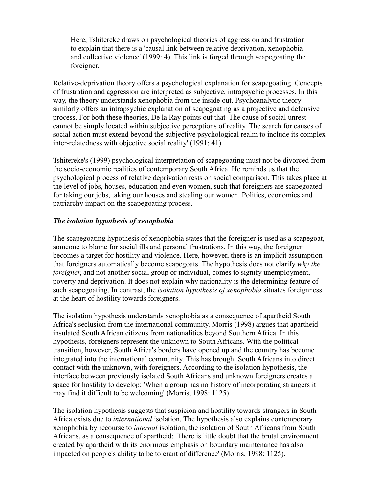Here, Tshitereke draws on psychological theories of aggression and frustration to explain that there is a 'causal link between relative deprivation, xenophobia and collective violence' (1999: 4). This link is forged through scapegoating the foreigner.

Relative-deprivation theory offers a psychological explanation for scapegoating. Concepts of frustration and aggression are interpreted as subjective, intrapsychic processes. In this way, the theory understands xenophobia from the inside out. Psychoanalytic theory similarly offers an intrapsychic explanation of scapegoating as a projective and defensive process. For both these theories, De la Ray points out that 'The cause of social unrest cannot be simply located within subjective perceptions of reality. The search for causes of social action must extend beyond the subjective psychological realm to include its complex inter-relatedness with objective social reality' (1991: 41).

Tshitereke's (1999) psychological interpretation of scapegoating must not be divorced from the socio-economic realities of contemporary South Africa. He reminds us that the psychological process of relative deprivation rests on social comparison. This takes place at the level of jobs, houses, education and even women, such that foreigners are scapegoated for taking our jobs, taking our houses and stealing our women. Politics, economics and patriarchy impact on the scapegoating process.

## *The isolation hypothesis of xenophobia*

The scapegoating hypothesis of xenophobia states that the foreigner is used as a scapegoat, someone to blame for social ills and personal frustrations. In this way, the foreigner becomes a target for hostility and violence. Here, however, there is an implicit assumption that foreigners automatically become scapegoats. The hypothesis does not clarify *why the foreigner*, and not another social group or individual, comes to signify unemployment, poverty and deprivation. It does not explain why nationality is the determining feature of such scapegoating. In contrast, the *isolation hypothesis of xenophobia* situates foreignness at the heart of hostility towards foreigners.

The isolation hypothesis understands xenophobia as a consequence of apartheid South Africa's seclusion from the international community. Morris (1998) argues that apartheid insulated South African citizens from nationalities beyond Southern Africa. In this hypothesis, foreigners represent the unknown to South Africans. With the political transition, however, South Africa's borders have opened up and the country has become integrated into the international community. This has brought South Africans into direct contact with the unknown, with foreigners. According to the isolation hypothesis, the interface between previously isolated South Africans and unknown foreigners creates a space for hostility to develop: 'When a group has no history of incorporating strangers it may find it difficult to be welcoming' (Morris, 1998: 1125).

The isolation hypothesis suggests that suspicion and hostility towards strangers in South Africa exists due to *international* isolation. The hypothesis also explains contemporary xenophobia by recourse to *internal* isolation, the isolation of South Africans from South Africans, as a consequence of apartheid: 'There is little doubt that the brutal environment created by apartheid with its enormous emphasis on boundary maintenance has also impacted on people's ability to be tolerant of difference' (Morris, 1998: 1125).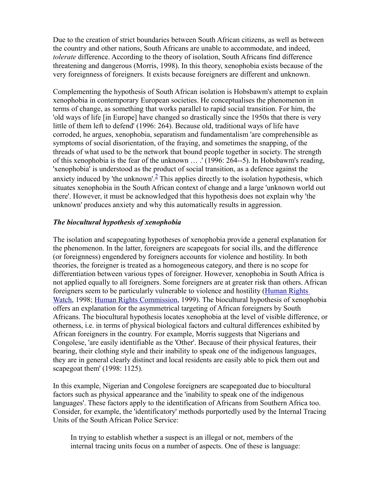Due to the creation of strict boundaries between South African citizens, as well as between the country and other nations, South Africans are unable to accommodate, and indeed, *tolerate* difference. According to the theory of isolation, South Africans find difference threatening and dangerous (Morris, 1998). In this theory, xenophobia exists because of the very foreignness of foreigners. It exists because foreigners are different and unknown.

Complementing the hypothesis of South African isolation is Hobsbawm's attempt to explain xenophobia in contemporary European societies. He conceptualises the phenomenon in terms of change, as something that works parallel to rapid social transition. For him, the 'old ways of life [in Europe] have changed so drastically since the 1950s that there is very little of them left to defend' (1996: 264). Because old, traditional ways of life have corroded, he argues, xenophobia, separatism and fundamentalism 'are comprehensible as symptoms of social disorientation, of the fraying, and sometimes the snapping, of the threads of what used to be the network that bound people together in society. The strength of this xenophobia is the fear of the unknown … .' (1996: 264--5). In Hobsbawm's reading, 'xenophobia' is understood as the product of social transition, as a defence against the anxiety induced by 'the unknown'.<sup>[2](http://www.csvr.org.za/papers/paphar1.htm#note2)</sup> This applies directly to the isolation hypothesis, which situates xenophobia in the South African context of change and a large 'unknown world out there'. However, it must be acknowledged that this hypothesis does not explain why 'the unknown' produces anxiety and why this automatically results in aggression.

## *The biocultural hypothesis of xenophobia*

The isolation and scapegoating hypotheses of xenophobia provide a general explanation for the phenomenon. In the latter, foreigners are scapegoats for social ills, and the difference (or foreignness) engendered by foreigners accounts for violence and hostility. In both theories, the foreigner is treated as a homogeneous category, and there is no scope for differentiation between various types of foreigner. However, xenophobia in South Africa is not applied equally to all foreigners. Some foreigners are at greater risk than others. African foreigners seem to be particularly vulnerable to violence and hostility [\(Human Rights](http://www.hrw.org/) [Watch,](http://www.hrw.org/) 1998; [Human Rights Commission,](http://www.sahrc.org.za/) 1999). The biocultural hypothesis of xenophobia offers an explanation for the asymmetrical targeting of African foreigners by South Africans. The biocultural hypothesis locates xenophobia at the level of visible difference, or otherness, i.e. in terms of physical biological factors and cultural differences exhibited by African foreigners in the country. For example, Morris suggests that Nigerians and Congolese, 'are easily identifiable as the 'Other'. Because of their physical features, their bearing, their clothing style and their inability to speak one of the indigenous languages, they are in general clearly distinct and local residents are easily able to pick them out and scapegoat them' (1998: 1125).

In this example, Nigerian and Congolese foreigners are scapegoated due to biocultural factors such as physical appearance and the 'inability to speak one of the indigenous languages'. These factors apply to the identification of Africans from Southern Africa too. Consider, for example, the 'identificatory' methods purportedly used by the Internal Tracing Units of the South African Police Service:

In trying to establish whether a suspect is an illegal or not, members of the internal tracing units focus on a number of aspects. One of these is language: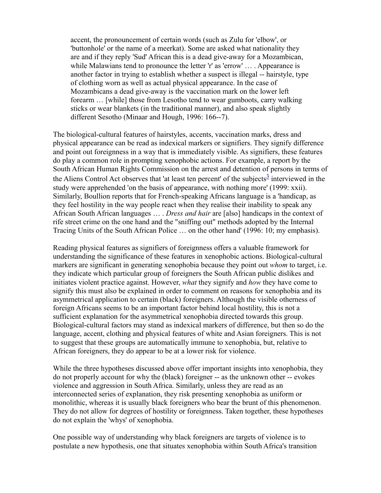accent, the pronouncement of certain words (such as Zulu for 'elbow', or 'buttonhole' or the name of a meerkat). Some are asked what nationality they are and if they reply 'Sud' African this is a dead give-away for a Mozambican, while Malawians tend to pronounce the letter 'r' as 'errow' ... . Appearance is another factor in trying to establish whether a suspect is illegal -- hairstyle, type of clothing worn as well as actual physical appearance. In the case of Mozambicans a dead give-away is the vaccination mark on the lower left forearm … [while] those from Lesotho tend to wear gumboots, carry walking sticks or wear blankets (in the traditional manner), and also speak slightly different Sesotho (Minaar and Hough, 1996: 166--7).

The biological-cultural features of hairstyles, accents, vaccination marks, dress and physical appearance can be read as indexical markers or signifiers. They signify difference and point out foreignness in a way that is immediately visible. As signifiers, these features do play a common role in prompting xenophobic actions. For example, a report by the South African Human Rights Commission on the arrest and detention of persons in terms of the Aliens Control Act observes that 'at least ten percent' of the subjects<sup>[3](http://www.csvr.org.za/papers/paphar1.htm#note3)</sup> interviewed in the study were apprehended 'on the basis of appearance, with nothing more' (1999: xxii). Similarly, Boullion reports that for French-speaking Africans language is a 'handicap, as they feel hostility in the way people react when they realise their inability to speak any African South African languages … . *Dress and hair* are [also] handicaps in the context of rife street crime on the one hand and the "sniffing out" methods adopted by the Internal Tracing Units of the South African Police … on the other hand' (1996: 10; my emphasis).

Reading physical features as signifiers of foreignness offers a valuable framework for understanding the significance of these features in xenophobic actions. Biological-cultural markers are significant in generating xenophobia because they point out *whom* to target, i.e. they indicate which particular group of foreigners the South African public dislikes and initiates violent practice against. However, *what* they signify and *how* they have come to signify this must also be explained in order to comment on reasons for xenophobia and its asymmetrical application to certain (black) foreigners. Although the visible otherness of foreign Africans seems to be an important factor behind local hostility, this is not a sufficient explanation for the asymmetrical xenophobia directed towards this group. Biological-cultural factors may stand as indexical markers of difference, but then so do the language, accent, clothing and physical features of white and Asian foreigners. This is not to suggest that these groups are automatically immune to xenophobia, but, relative to African foreigners, they do appear to be at a lower risk for violence.

While the three hypotheses discussed above offer important insights into xenophobia, they do not properly account for why the (black) foreigner -- as the unknown other -- evokes violence and aggression in South Africa. Similarly, unless they are read as an interconnected series of explanation, they risk presenting xenophobia as uniform or monolithic, whereas it is usually black foreigners who bear the brunt of this phenomenon. They do not allow for degrees of hostility or foreignness. Taken together, these hypotheses do not explain the 'whys' of xenophobia.

One possible way of understanding why black foreigners are targets of violence is to postulate a new hypothesis, one that situates xenophobia within South Africa's transition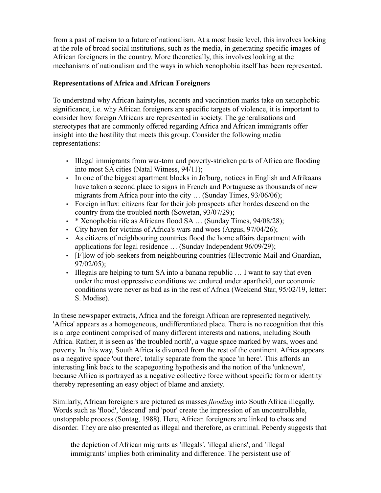from a past of racism to a future of nationalism. At a most basic level, this involves looking at the role of broad social institutions, such as the media, in generating specific images of African foreigners in the country. More theoretically, this involves looking at the mechanisms of nationalism and the ways in which xenophobia itself has been represented.

## **Representations of Africa and African Foreigners**

To understand why African hairstyles, accents and vaccination marks take on xenophobic significance, i.e. why African foreigners are specific targets of violence, it is important to consider how foreign Africans are represented in society. The generalisations and stereotypes that are commonly offered regarding Africa and African immigrants offer insight into the hostility that meets this group. Consider the following media representations:

- Illegal immigrants from war-torn and poverty-stricken parts of Africa are flooding into most SA cities (Natal Witness, 94/11);
- In one of the biggest apartment blocks in Jo'burg, notices in English and Afrikaans have taken a second place to signs in French and Portuguese as thousands of new migrants from Africa pour into the city … (Sunday Times, 93/06/06);
- Foreign influx: citizens fear for their job prospects after hordes descend on the country from the troubled north (Sowetan, 93/07/29);
- \* Xenophobia rife as Africans flood SA ... (Sunday Times, 94/08/28);
- City haven for victims of Africa's wars and woes (Argus, 97/04/26);
- As citizens of neighbouring countries flood the home affairs department with applications for legal residence … (Sunday Independent 96/09/29);
- [F]low of job-seekers from neighbouring countries (Electronic Mail and Guardian, 97/02/05);
- Illegals are helping to turn SA into a banana republic ... I want to say that even under the most oppressive conditions we endured under apartheid, our economic conditions were never as bad as in the rest of Africa (Weekend Star, 95/02/19, letter: S. Modise).

In these newspaper extracts, Africa and the foreign African are represented negatively. 'Africa' appears as a homogeneous, undifferentiated place. There is no recognition that this is a large continent comprised of many different interests and nations, including South Africa. Rather, it is seen as 'the troubled north', a vague space marked by wars, woes and poverty. In this way, South Africa is divorced from the rest of the continent. Africa appears as a negative space 'out there', totally separate from the space 'in here'. This affords an interesting link back to the scapegoating hypothesis and the notion of the 'unknown', because Africa is portrayed as a negative collective force without specific form or identity thereby representing an easy object of blame and anxiety.

Similarly, African foreigners are pictured as masses *flooding* into South Africa illegally. Words such as 'flood', 'descend' and 'pour' create the impression of an uncontrollable, unstoppable process (Sontag, 1988). Here, African foreigners are linked to chaos and disorder. They are also presented as illegal and therefore, as criminal. Peberdy suggests that

the depiction of African migrants as 'illegals', 'illegal aliens', and 'illegal immigrants' implies both criminality and difference. The persistent use of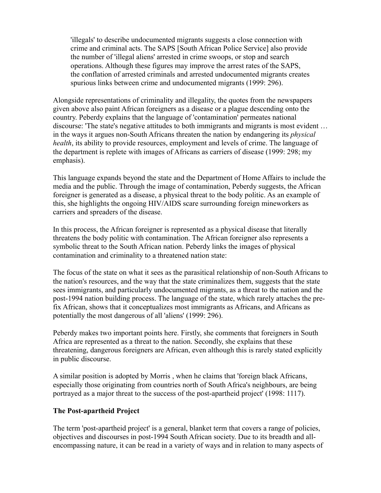'illegals' to describe undocumented migrants suggests a close connection with crime and criminal acts. The SAPS [South African Police Service] also provide the number of 'illegal aliens' arrested in crime swoops, or stop and search operations. Although these figures may improve the arrest rates of the SAPS, the conflation of arrested criminals and arrested undocumented migrants creates spurious links between crime and undocumented migrants (1999: 296).

Alongside representations of criminality and illegality, the quotes from the newspapers given above also paint African foreigners as a disease or a plague descending onto the country. Peberdy explains that the language of 'contamination' permeates national discourse: 'The state's negative attitudes to both immigrants and migrants is most evident … in the ways it argues non-South Africans threaten the nation by endangering its *physical health*, its ability to provide resources, employment and levels of crime. The language of the department is replete with images of Africans as carriers of disease (1999: 298; my emphasis).

This language expands beyond the state and the Department of Home Affairs to include the media and the public. Through the image of contamination, Peberdy suggests, the African foreigner is generated as a disease, a physical threat to the body politic. As an example of this, she highlights the ongoing HIV/AIDS scare surrounding foreign mineworkers as carriers and spreaders of the disease.

In this process, the African foreigner is represented as a physical disease that literally threatens the body politic with contamination. The African foreigner also represents a symbolic threat to the South African nation. Peberdy links the images of physical contamination and criminality to a threatened nation state:

The focus of the state on what it sees as the parasitical relationship of non-South Africans to the nation's resources, and the way that the state criminalizes them, suggests that the state sees immigrants, and particularly undocumented migrants, as a threat to the nation and the post-1994 nation building process. The language of the state, which rarely attaches the prefix African, shows that it conceptualizes most immigrants as Africans, and Africans as potentially the most dangerous of all 'aliens' (1999: 296).

Peberdy makes two important points here. Firstly, she comments that foreigners in South Africa are represented as a threat to the nation. Secondly, she explains that these threatening, dangerous foreigners are African, even although this is rarely stated explicitly in public discourse.

A similar position is adopted by Morris , when he claims that 'foreign black Africans, especially those originating from countries north of South Africa's neighbours, are being portrayed as a major threat to the success of the post-apartheid project' (1998: 1117).

### **The Post-apartheid Project**

The term 'post-apartheid project' is a general, blanket term that covers a range of policies, objectives and discourses in post-1994 South African society. Due to its breadth and allencompassing nature, it can be read in a variety of ways and in relation to many aspects of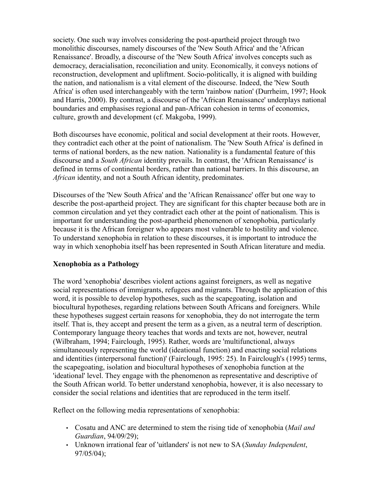society. One such way involves considering the post-apartheid project through two monolithic discourses, namely discourses of the 'New South Africa' and the 'African Renaissance'. Broadly, a discourse of the 'New South Africa' involves concepts such as democracy, deracialisation, reconciliation and unity. Economically, it conveys notions of reconstruction, development and upliftment. Socio-politically, it is aligned with building the nation, and nationalism is a vital element of the discourse. Indeed, the 'New South Africa' is often used interchangeably with the term 'rainbow nation' (Durrheim, 1997; Hook and Harris, 2000). By contrast, a discourse of the 'African Renaissance' underplays national boundaries and emphasises regional and pan-African cohesion in terms of economics, culture, growth and development (cf. Makgoba, 1999).

Both discourses have economic, political and social development at their roots. However, they contradict each other at the point of nationalism. The 'New South Africa' is defined in terms of national borders, as the new nation. Nationality is a fundamental feature of this discourse and a *South African* identity prevails. In contrast, the 'African Renaissance' is defined in terms of continental borders, rather than national barriers. In this discourse, an *African* identity, and not a South African identity, predominates.

Discourses of the 'New South Africa' and the 'African Renaissance' offer but one way to describe the post-apartheid project. They are significant for this chapter because both are in common circulation and yet they contradict each other at the point of nationalism. This is important for understanding the post-apartheid phenomenon of xenophobia, particularly because it is the African foreigner who appears most vulnerable to hostility and violence. To understand xenophobia in relation to these discourses, it is important to introduce the way in which xenophobia itself has been represented in South African literature and media.

# **Xenophobia as a Pathology**

The word 'xenophobia' describes violent actions against foreigners, as well as negative social representations of immigrants, refugees and migrants. Through the application of this word, it is possible to develop hypotheses, such as the scapegoating, isolation and biocultural hypotheses, regarding relations between South Africans and foreigners. While these hypotheses suggest certain reasons for xenophobia, they do not interrogate the term itself. That is, they accept and present the term as a given, as a neutral term of description. Contemporary language theory teaches that words and texts are not, however, neutral (Wilbraham, 1994; Fairclough, 1995). Rather, words are 'multifunctional, always simultaneously representing the world (ideational function) and enacting social relations and identities (interpersonal function)' (Fairclough, 1995: 25). In Fairclough's (1995) terms, the scapegoating, isolation and biocultural hypotheses of xenophobia function at the 'ideational' level. They engage with the phenomenon as representative and descriptive of the South African world. To better understand xenophobia, however, it is also necessary to consider the social relations and identities that are reproduced in the term itself.

Reflect on the following media representations of xenophobia:

- Cosatu and ANC are determined to stem the rising tide of xenophobia (*Mail and Guardian*, 94/09/29);
- Unknown irrational fear of 'uitlanders' is not new to SA (*Sunday Independent*, 97/05/04);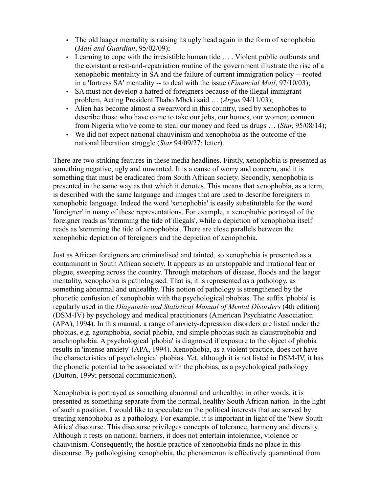- The old laager mentality is raising its ugly head again in the form of xenophobia (*Mail and Guardian*, 95/02/09);
- Learning to cope with the irresistible human tide ... Violent public outbursts and the constant arrest-and-repatriation routine of the government illustrate the rise of a xenophobic mentality in SA and the failure of current immigration policy -- rooted in a 'fortress SA' mentality -- to deal with the issue (*Financial Mail*, 97/10/03);
- SA must not develop a hatred of foreigners because of the illegal immigrant problem, Acting President Thabo Mbeki said … (*Argus* 94/11/03);
- Alien has become almost a swearword in this country, used by xenophobes to describe those who have come to take our jobs, our homes, our women; conmen from Nigeria who've come to steal our money and feed us drugs … (*Star*, 95/08/14);
- We did not expect national chauvinism and xenophobia as the outcome of the national liberation struggle (*Star* 94/09/27; letter).

There are two striking features in these media headlines. Firstly, xenophobia is presented as something negative, ugly and unwanted. It is a cause of worry and concern, and it is something that must be eradicated from South African society. Secondly, xenophobia is presented in the same way as that which it denotes. This means that xenophobia, as a term, is described with the same language and images that are used to describe foreigners in xenophobic language. Indeed the word 'xenophobia' is easily substitutable for the word 'foreigner' in many of these representations. For example, a xenophobic portrayal of the foreigner reads as 'stemming the tide of illegals', while a depiction of xenophobia itself reads as 'stemming the tide of xenophobia'. There are close parallels between the xenophobic depiction of foreigners and the depiction of xenophobia.

Just as African foreigners are criminalised and tainted, so xenophobia is presented as a contaminant in South African society. It appears as an unstoppable and irrational fear or plague, sweeping across the country. Through metaphors of disease, floods and the laager mentality, xenophobia is pathologised. That is, it is represented as a pathology, as something abnormal and unhealthy. This notion of pathology is strengthened by the phonetic confusion of xenophobia with the psychological phobias. The suffix 'phobia' is regularly used in the *Diagnostic and Statistical Manual of Mental Disorders* (4th edition) (DSM-IV) by psychology and medical practitioners (American Psychiatric Association (APA), 1994). In this manual, a range of anxiety-depression disorders are listed under the phobias, e.g. agoraphobia, social phobia, and simple phobias such as claustrophobia and arachnophobia. A psychological 'phobia' is diagnosed if exposure to the object of phobia results in 'intense anxiety' (APA, 1994). Xenophobia, as a violent practice, does not have the characteristics of psychological phobias. Yet, although it is not listed in DSM-IV, it has the phonetic potential to be associated with the phobias, as a psychological pathology (Dutton, 1999; personal communication).

Xenophobia is portrayed as something abnormal and unhealthy: in other words, it is presented as something separate from the normal, healthy South African nation. In the light of such a position, I would like to speculate on the political interests that are served by treating xenophobia as a pathology. For example, it is important in light of the 'New South Africa' discourse. This discourse privileges concepts of tolerance, harmony and diversity. Although it rests on national barriers, it does not entertain intolerance, violence or chauvinism. Consequently, the hostile practice of xenophobia finds no place in this discourse. By pathologising xenophobia, the phenomenon is effectively quarantined from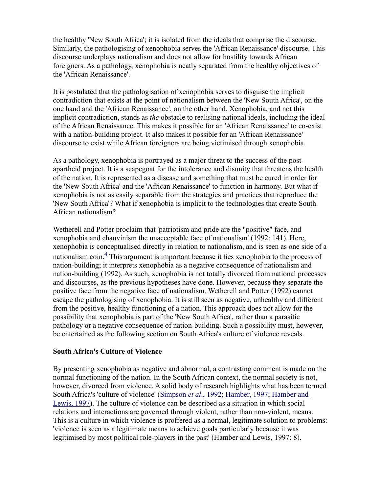the healthy 'New South Africa'; it is isolated from the ideals that comprise the discourse. Similarly, the pathologising of xenophobia serves the 'African Renaissance' discourse. This discourse underplays nationalism and does not allow for hostility towards African foreigners. As a pathology, xenophobia is neatly separated from the healthy objectives of the 'African Renaissance'.

It is postulated that the pathologisation of xenophobia serves to disguise the implicit contradiction that exists at the point of nationalism between the 'New South Africa', on the one hand and the 'African Renaissance', on the other hand. Xenophobia, and not this implicit contradiction, stands as *the* obstacle to realising national ideals, including the ideal of the African Renaissance. This makes it possible for an 'African Renaissance' to co-exist with a nation-building project. It also makes it possible for an 'African Renaissance' discourse to exist while African foreigners are being victimised through xenophobia.

As a pathology, xenophobia is portrayed as a major threat to the success of the postapartheid project. It is a scapegoat for the intolerance and disunity that threatens the health of the nation. It is represented as a disease and something that must be cured in order for the 'New South Africa' and the 'African Renaissance' to function in harmony. But what if xenophobia is not as easily separable from the strategies and practices that reproduce the 'New South Africa'? What if xenophobia is implicit to the technologies that create South African nationalism?

Wetherell and Potter proclaim that 'patriotism and pride are the "positive" face, and xenophobia and chauvinism the unacceptable face of nationalism' (1992: 141). Here, xenophobia is conceptualised directly in relation to nationalism, and is seen as one side of a nationalism coin. $4$  This argument is important because it ties xenophobia to the process of nation-building; it interprets xenophobia as a negative consequence of nationalism and nation-building (1992). As such, xenophobia is not totally divorced from national processes and discourses, as the previous hypotheses have done. However, because they separate the positive face from the negative face of nationalism, Wetherell and Potter (1992) cannot escape the pathologising of xenophobia. It is still seen as negative, unhealthy and different from the positive, healthy functioning of a nation. This approach does not allow for the possibility that xenophobia is part of the 'New South Africa', rather than a parasitic pathology or a negative consequence of nation-building. Such a possibility must, however, be entertained as the following section on South Africa's culture of violence reveals.

### **South Africa's Culture of Violence**

By presenting xenophobia as negative and abnormal, a contrasting comment is made on the normal functioning of the nation. In the South African context, the normal society is not, however, divorced from violence. A solid body of research highlights what has been termed South Africa's 'culture of violence' (Simpson *et al.*, 1992; [Hamber, 1997;](http://www.csvr.org.za/papers/papjeck.htm) [Hamber and](http://www.csvr.org.za/papers/papptsd.htm) [Lewis, 1997\)](http://www.csvr.org.za/papers/papptsd.htm). The culture of violence can be described as a situation in which social relations and interactions are governed through violent, rather than non-violent, means. This is a culture in which violence is proffered as a normal, legitimate solution to problems: 'violence is seen as a legitimate means to achieve goals particularly because it was legitimised by most political role-players in the past' (Hamber and Lewis, 1997: 8).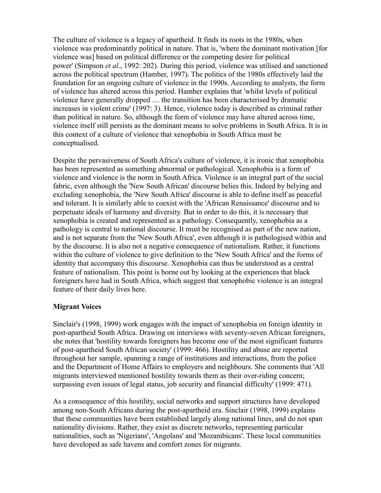The culture of violence is a legacy of apartheid. It finds its roots in the 1980s, when violence was predominantly political in nature. That is, 'where the dominant motivation [for violence was] based on political difference or the competing desire for political power' (Simpson *et al*., 1992: 202). During this period, violence was utilised and sanctioned across the political spectrum (Hamber, 1997). The politics of the 1980s effectively laid the foundation for an ongoing culture of violence in the 1990s. According to analysts, the form of violence has altered across this period. Hamber explains that 'whilst levels of political violence have generally dropped … the transition has been characterised by dramatic increases in violent crime' (1997: 3). Hence, violence today is described as criminal rather than political in nature. So, although the form of violence may have altered across time, violence itself still persists as the dominant means to solve problems in South Africa. It is in this context of a culture of violence that xenophobia in South Africa must be conceptualised.

Despite the pervasiveness of South Africa's culture of violence, it is ironic that xenophobia has been represented as something abnormal or pathological. Xenophobia is a form of violence and violence is the norm in South Africa. Violence is an integral part of the social fabric, even although the 'New South African' discourse belies this. Indeed by belying and excluding xenophobia, the 'New South Africa' discourse is able to define itself as peaceful and tolerant. It is similarly able to coexist with the 'African Renaissance' discourse and to perpetuate ideals of harmony and diversity. But in order to do this, it is necessary that xenophobia is created and represented as a pathology. Consequently, xenophobia as a pathology is central to national discourse. It must be recognised as part of the new nation, and is not separate from the 'New South Africa', even although it is pathologised within and by the discourse. It is also not a negative consequence of nationalism. Rather, it functions within the culture of violence to give definition to the 'New South Africa' and the forms of identity that accompany this discourse. Xenophobia can thus be understood as a central feature of nationalism. This point is borne out by looking at the experiences that black foreigners have had in South Africa, which suggest that xenophobic violence is an integral feature of their daily lives here.

# **Migrant Voices**

Sinclair's (1998, 1999) work engages with the impact of xenophobia on foreign identity in post-apartheid South Africa. Drawing on interviews with seventy-seven African foreigners, she notes that 'hostility towards foreigners has become one of the most significant features of post-apartheid South African society' (1999: 466). Hostility and abuse are reported throughout her sample, spanning a range of institutions and interactions, from the police and the Department of Home Affairs to employers and neighbours. She comments that 'All migrants interviewed mentioned hostility towards them as their over-riding concern; surpassing even issues of legal status, job security and financial difficulty' (1999: 471).

As a consequence of this hostility, social networks and support structures have developed among non-South Africans during the post-apartheid era. Sinclair (1998, 1999) explains that these communities have been established largely along national lines, and do not span nationality divisions. Rather, they exist as discrete networks, representing particular nationalities, such as 'Nigerians', 'Angolans' and 'Mozambicans'. These local communities have developed as safe havens and comfort zones for migrants.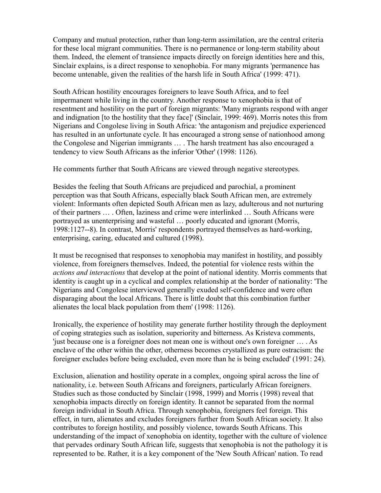Company and mutual protection, rather than long-term assimilation, are the central criteria for these local migrant communities. There is no permanence or long-term stability about them. Indeed, the element of transience impacts directly on foreign identities here and this, Sinclair explains, is a direct response to xenophobia. For many migrants 'permanence has become untenable, given the realities of the harsh life in South Africa' (1999: 471).

South African hostility encourages foreigners to leave South Africa, and to feel impermanent while living in the country. Another response to xenophobia is that of resentment and hostility on the part of foreign migrants: 'Many migrants respond with anger and indignation [to the hostility that they face]' (Sinclair, 1999: 469). Morris notes this from Nigerians and Congolese living in South Africa: 'the antagonism and prejudice experienced has resulted in an unfortunate cycle. It has encouraged a strong sense of nationhood among the Congolese and Nigerian immigrants … . The harsh treatment has also encouraged a tendency to view South Africans as the inferior 'Other' (1998: 1126).

He comments further that South Africans are viewed through negative stereotypes.

Besides the feeling that South Africans are prejudiced and parochial, a prominent perception was that South Africans, especially black South African men, are extremely violent: Informants often depicted South African men as lazy, adulterous and not nurturing of their partners … . Often, laziness and crime were interlinked … South Africans were portrayed as unenterprising and wasteful … poorly educated and ignorant (Morris, 1998:1127--8). In contrast, Morris' respondents portrayed themselves as hard-working, enterprising, caring, educated and cultured (1998).

It must be recognised that responses to xenophobia may manifest in hostility, and possibly violence, from foreigners themselves. Indeed, the potential for violence rests within the *actions and interactions* that develop at the point of national identity. Morris comments that identity is caught up in a cyclical and complex relationship at the border of nationality: 'The Nigerians and Congolese interviewed generally exuded self-confidence and were often disparaging about the local Africans. There is little doubt that this combination further alienates the local black population from them' (1998: 1126).

Ironically, the experience of hostility may generate further hostility through the deployment of coping strategies such as isolation, superiority and bitterness. As Kristeva comments, 'just because one is a foreigner does not mean one is without one's own foreigner … . As enclave of the other within the other, otherness becomes crystallized as pure ostracism: the foreigner excludes before being excluded, even more than he is being excluded' (1991: 24).

Exclusion, alienation and hostility operate in a complex, ongoing spiral across the line of nationality, i.e. between South Africans and foreigners, particularly African foreigners. Studies such as those conducted by Sinclair (1998, 1999) and Morris (1998) reveal that xenophobia impacts directly on foreign identity. It cannot be separated from the normal foreign individual in South Africa. Through xenophobia, foreigners feel foreign. This effect, in turn, alienates and excludes foreigners further from South African society. It also contributes to foreign hostility, and possibly violence, towards South Africans. This understanding of the impact of xenophobia on identity, together with the culture of violence that pervades ordinary South African life, suggests that xenophobia is not the pathology it is represented to be. Rather, it is a key component of the 'New South African' nation. To read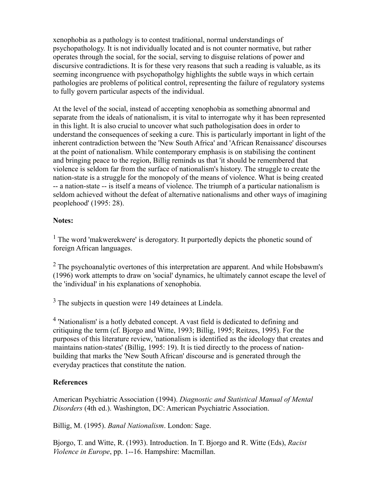xenophobia as a pathology is to contest traditional, normal understandings of psychopathology. It is not individually located and is not counter normative, but rather operates through the social, for the social, serving to disguise relations of power and discursive contradictions. It is for these very reasons that such a reading is valuable, as its seeming incongruence with psychopatholgy highlights the subtle ways in which certain pathologies are problems of political control, representing the failure of regulatory systems to fully govern particular aspects of the individual.

At the level of the social, instead of accepting xenophobia as something abnormal and separate from the ideals of nationalism, it is vital to interrogate why it has been represented in this light. It is also crucial to uncover what such pathologisation does in order to understand the consequences of seeking a cure. This is particularly important in light of the inherent contradiction between the 'New South Africa' and 'African Renaissance' discourses at the point of nationalism. While contemporary emphasis is on stabilising the continent and bringing peace to the region, Billig reminds us that 'it should be remembered that violence is seldom far from the surface of nationalism's history. The struggle to create the nation-state is a struggle for the monopoly of the means of violence. What is being created -- a nation-state -- is itself a means of violence. The triumph of a particular nationalism is seldom achieved without the defeat of alternative nationalisms and other ways of imagining peoplehood' (1995: 28).

# **Notes:**

<sup>1</sup> The word 'makwerekwere' is derogatory. It purportedly depicts the phonetic sound of foreign African languages.

 $2$  The psychoanalytic overtones of this interpretation are apparent. And while Hobsbawm's (1996) work attempts to draw on 'social' dynamics, he ultimately cannot escape the level of the 'individual' in his explanations of xenophobia.

 $3$  The subjects in question were 149 detainees at Lindela.

<sup>4</sup> 'Nationalism' is a hotly debated concept. A vast field is dedicated to defining and critiquing the term (cf. Bjorgo and Witte, 1993; Billig, 1995; Reitzes, 1995). For the purposes of this literature review, 'nationalism is identified as the ideology that creates and maintains nation-states' (Billig, 1995: 19). It is tied directly to the process of nationbuilding that marks the 'New South African' discourse and is generated through the everyday practices that constitute the nation.

# **References**

American Psychiatric Association (1994). *Diagnostic and Statistical Manual of Mental Disorders* (4th ed.). Washington, DC: American Psychiatric Association.

Billig, M. (1995). *Banal Nationalism*. London: Sage.

Bjorgo, T. and Witte, R. (1993). Introduction. In T. Bjorgo and R. Witte (Eds), *Racist Violence in Europe*, pp. 1--16. Hampshire: Macmillan.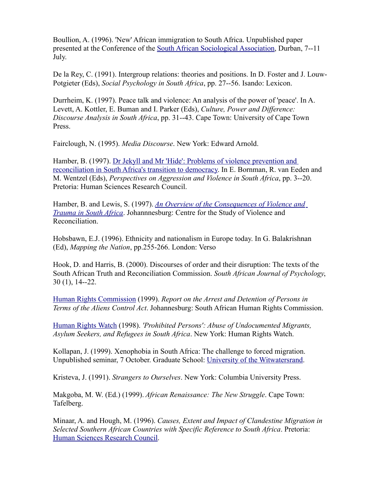Boullion, A. (1996). 'New' African immigration to South Africa. Unpublished paper presented at the Conference of the [South African Sociological Association,](http://general.rau.ac.za/sasa/index.htm) Durban, 7--11 July.

De la Rey, C. (1991). Intergroup relations: theories and positions. In D. Foster and J. Louw-Potgieter (Eds), *Social Psychology in South Africa*, pp. 27--56. Isando: Lexicon.

Durrheim, K. (1997). Peace talk and violence: An analysis of the power of 'peace'. In A. Levett, A. Kottler, E. Buman and I. Parker (Eds), *Culture, Power and Difference: Discourse Analysis in South Africa*, pp. 31--43. Cape Town: University of Cape Town Press.

Fairclough, N. (1995). *Media Discourse*. New York: Edward Arnold.

Hamber, B. (1997). [Dr Jekyll and Mr 'Hide': Problems of violence prevention and](http://www.csvr.org.za/papers/papjeck.htm) [reconciliation in South Africa's transition to democracy.](http://www.csvr.org.za/papers/papjeck.htm) In E. Bornman, R. van Eeden and M. Wentzel (Eds), *Perspectives on Aggression and Violence in South Africa*, pp. 3--20. Pretoria: Human Sciences Research Council.

Hamber, B. and Lewis, S. (1997). *[An Overview of the Consequences of Violence and](http://www.csvr.org.za/papers/papptsd.htm) [Trauma in South Africa](http://www.csvr.org.za/papers/papptsd.htm)*. Johannnesburg: Centre for the Study of Violence and Reconciliation.

Hobsbawn, E.J. (1996). Ethnicity and nationalism in Europe today. In G. Balakrishnan (Ed), *Mapping the Nation*, pp.255-266. London: Verso

Hook, D. and Harris, B. (2000). Discourses of order and their disruption: The texts of the South African Truth and Reconciliation Commission. *South African Journal of Psychology*, 30 (1), 14--22.

[Human Rights Commission](http://www.sahrc.org.za/) (1999). *Report on the Arrest and Detention of Persons in Terms of the Aliens Control Act*. Johannesburg: South African Human Rights Commission.

[Human Rights Watch](http://www.hrw.org/) (1998). *'Prohibited Persons': Abuse of Undocumented Migrants, Asylum Seekers, and Refugees in South Africa*. New York: Human Rights Watch.

Kollapan, J. (1999). Xenophobia in South Africa: The challenge to forced migration. Unpublished seminar, 7 October. Graduate School: [University of the Witwatersrand.](http://www.wits.ac.za/)

Kristeva, J. (1991). *Strangers to Ourselves*. New York: Columbia University Press.

Makgoba, M. W. (Ed.) (1999). *African Renaissance: The New Struggle*. Cape Town: Tafelberg.

Minaar, A. and Hough, M. (1996). *Causes, Extent and Impact of Clandestine Migration in Selected Southern African Countries with Specific Reference to South Africa*. Pretoria: [Human Sciences Research Council.](http://star.hsrc.ac.za/)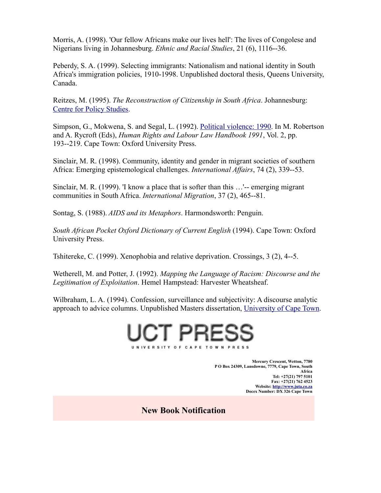Morris, A. (1998). 'Our fellow Africans make our lives hell': The lives of Congolese and Nigerians living in Johannesburg. *Ethnic and Racial Studies*, 21 (6), 1116--36.

Peberdy, S. A. (1999). Selecting immigrants: Nationalism and national identity in South Africa's immigration policies, 1910-1998. Unpublished doctoral thesis, Queens University, Canada.

Reitzes, M. (1995). *The Reconstruction of Citizenship in South Africa*. Johannesburg: [Centre for Policy Studies.](http://www.cps.org.za/)

Simpson, G., Mokwena, S. and Segal, L. (1992). [Political violence: 1990.](http://www.csvr.org.za/papers/papolv90.htm) In M. Robertson and A. Rycroft (Eds), *Human Rights and Labour Law Handbook 1991*, Vol. 2, pp. 193--219. Cape Town: Oxford University Press.

Sinclair, M. R. (1998). Community, identity and gender in migrant societies of southern Africa: Emerging epistemological challenges. *International Affairs*, 74 (2), 339--53.

Sinclair, M. R. (1999). 'I know a place that is softer than this …'-- emerging migrant communities in South Africa. *International Migration*, 37 (2), 465--81.

Sontag, S. (1988). *AIDS and its Metaphors*. Harmondsworth: Penguin.

*South African Pocket Oxford Dictionary of Current English* (1994). Cape Town: Oxford University Press.

Tshitereke, C. (1999). Xenophobia and relative deprivation. Crossings, 3 (2), 4--5.

Wetherell, M. and Potter, J. (1992). *Mapping the Language of Racism: Discourse and the Legitimation of Exploitation*. Hemel Hampstead: Harvester Wheatsheaf.

Wilbraham, L. A. (1994). Confession, surveillance and subjectivity: A discourse analytic approach to advice columns. Unpublished Masters dissertation, [University of Cape Town.](http://www.uct.ac.za/)



**Mercury Crescent, Wetton, 7780 P O Box 24309, Lansdowne, 7779, Cape Town, South Africa Tel: +27(21) 797 5101 Fax: +27(21) 762 4523 Website: [http://www.juta.co.za](http://www.juta.co.za/) Docex Number: DX 326 Cape Town**

**New Book Notification**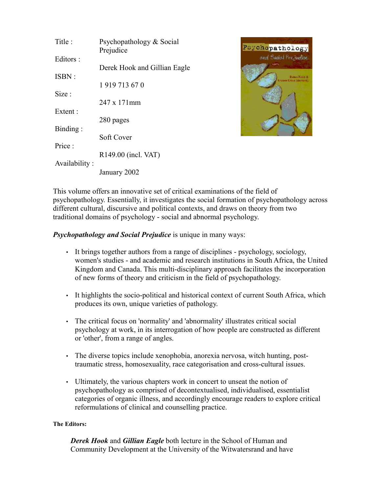| Title:        | Psychopathology & Social<br>Prejudice |
|---------------|---------------------------------------|
| Editors :     |                                       |
| ISBN:         | Derek Hook and Gillian Eagle          |
|               | 1919713670                            |
| Size:         | 247 x 171 mm                          |
| Extent :      |                                       |
| Binding:      | 280 pages                             |
|               | <b>Soft Cover</b>                     |
| Price:        | R149.00 (incl. VAT)                   |
| Availability: |                                       |
|               | January 2002                          |



This volume offers an innovative set of critical examinations of the field of psychopathology. Essentially, it investigates the social formation of psychopathology across different cultural, discursive and political contexts, and draws on theory from two traditional domains of psychology - social and abnormal psychology.

*Psychopathology and Social Prejudice* is unique in many ways:

- It brings together authors from a range of disciplines psychology, sociology, women's studies - and academic and research institutions in South Africa, the United Kingdom and Canada. This multi-disciplinary approach facilitates the incorporation of new forms of theory and criticism in the field of psychopathology.
- It highlights the socio-political and historical context of current South Africa, which produces its own, unique varieties of pathology.
- The critical focus on 'normality' and 'abnormality' illustrates critical social psychology at work, in its interrogation of how people are constructed as different or 'other', from a range of angles.
- The diverse topics include xenophobia, anorexia nervosa, witch hunting, posttraumatic stress, homosexuality, race categorisation and cross-cultural issues.
- Ultimately, the various chapters work in concert to unseat the notion of psychopathology as comprised of decontextualised, individualised, essentialist categories of organic illness, and accordingly encourage readers to explore critical reformulations of clinical and counselling practice.

### **The Editors:**

*Derek Hook* and *Gillian Eagle* both lecture in the School of Human and Community Development at the University of the Witwatersrand and have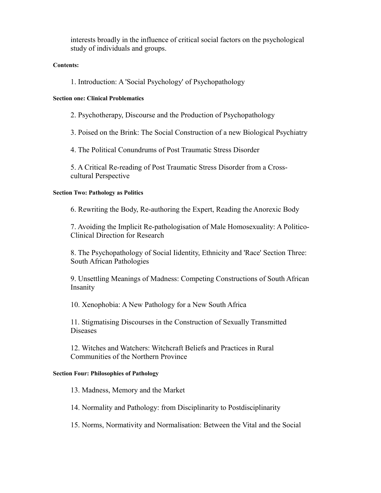interests broadly in the influence of critical social factors on the psychological study of individuals and groups.

#### **Contents:**

1. Introduction: A 'Social Psychology' of Psychopathology

#### **Section one: Clinical Problematics**

2. Psychotherapy, Discourse and the Production of Psychopathology

3. Poised on the Brink: The Social Construction of a new Biological Psychiatry

4. The Political Conundrums of Post Traumatic Stress Disorder

5. A Critical Re-reading of Post Traumatic Stress Disorder from a Crosscultural Perspective

#### **Section Two: Pathology as Politics**

6. Rewriting the Body, Re-authoring the Expert, Reading the Anorexic Body

7. Avoiding the Implicit Re-pathologisation of Male Homosexuality: A Politico-Clinical Direction for Research

8. The Psychopathology of Social Iidentity, Ethnicity and 'Race' Section Three: South African Pathologies

9. Unsettling Meanings of Madness: Competing Constructions of South African Insanity

10. Xenophobia: A New Pathology for a New South Africa

11. Stigmatising Discourses in the Construction of Sexually Transmitted Diseases

12. Witches and Watchers: Witchcraft Beliefs and Practices in Rural Communities of the Northern Province

#### **Section Four: Philosophies of Pathology**

13. Madness, Memory and the Market

14. Normality and Pathology: from Disciplinarity to Postdisciplinarity

15. Norms, Normativity and Normalisation: Between the Vital and the Social